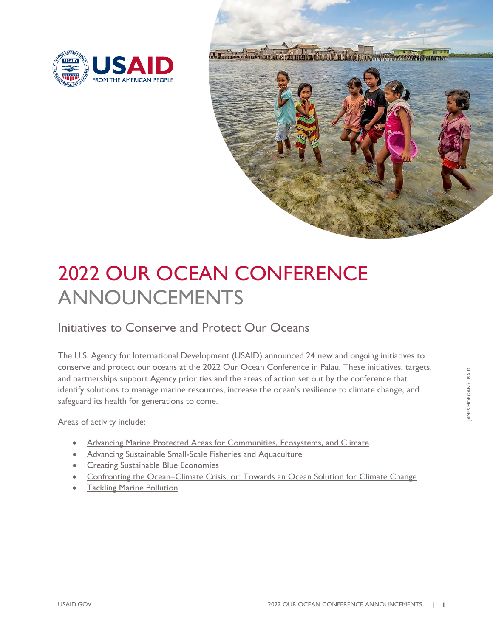

campaire wat make a word in the campaign of the street of the construction comments



# 2022 OUR OCEAN CONFERENCE ANNOUNCEMENTS

Initiatives to Conserve and Protect Our Oceans

The U.S. Agency for International Development (USAID) announced 24 new and ongoing initiatives to conserve and protect our oceans at the 2022 Our Ocean Conference in Palau. These initiatives, targets, and partnerships support Agency priorities and the areas of action set out by the conference that identify solutions to manage marine resources, increase the ocean's resilience to climate change, and safeguard its health for generations to come.

Areas of activity include:

- [Advancing Marine Protected Areas for Communities, Ecosystems, and Climate](#page-1-0)
- [Advancing Sustainable Small-Scale Fisheries and Aquaculture](#page-1-1)
- [Creating Sustainable Blue Economies](#page-3-0)
- Confronting the Ocean–[Climate Crisis, or: Towards an Ocean Solution for Climate Change](#page-3-1)
- [Tackling Marine Pollution](#page-4-0)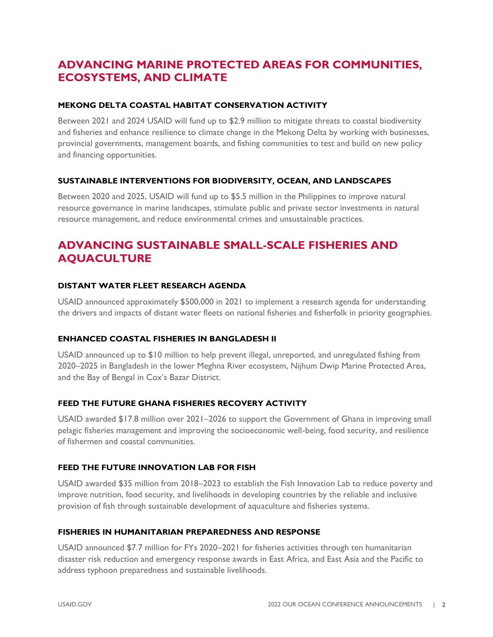# <span id="page-1-0"></span>**ADVANCING MARINE PROTECTED AREAS FOR COMMUNITIES, ECOSYSTEMS, AND CLIMATE**

# **MEKONG DELTA COASTAL HABITAT CONSERVATION ACTIVITY**

Between 2021 and 2024 USAID will fund up to \$2.9 million to mitigate threats to coastal biodiversity and fisheries and enhance resilience to climate change in the Mekong Delta by working with businesses, provincial governments, management boards, and fishing communities to test and build on new policy and financing opportunities.

# **SUSTAINABLE INTERVENTIONS FOR BIODIVERSITY, OCEAN, AND LANDSCAPES**

Between 2020 and 2025, USAID will fund up to \$5.5 million in the Philippines to improve natural resource governance in marine landscapes, stimulate public and private sector investments in natural resource management, and reduce environmental crimes and unsustainable practices.

# <span id="page-1-1"></span>**ADVANCING SUSTAINABLE SMALL-SCALE FISHERIES AND AQUACULTURE**

# **DISTANT WATER FLEET RESEARCH AGENDA**

USAID announced approximately \$500,000 in 2021 to implement a research agenda for understanding the drivers and impacts of distant water fleets on national fisheries and fisherfolk in priority geographies.

# **ENHANCED COASTAL FISHERIES IN BANGLADESH II**

USAID announced up to \$10 million to help prevent illegal, unreported, and unregulated fishing from 2020–2025 in Bangladesh in the lower Meghna River ecosystem, Nijhum Dwip Marine Protected Area, and the Bay of Bengal in Cox's Bazar District.

# **FEED THE FUTURE GHANA FISHERIES RECOVERY ACTIVITY**

USAID awarded \$17.8 million over 2021–2026 to support the Government of Ghana in improving small pelagic fisheries management and improving the socioeconomic well-being, food security, and resilience of fishermen and coastal communities.

#### **FEED THE FUTURE INNOVATION LAB FOR FISH**

USAID awarded \$35 million from 2018–2023 to establish the Fish Innovation Lab to reduce poverty and improve nutrition, food security, and livelihoods in developing countries by the reliable and inclusive provision of fish through sustainable development of aquaculture and fisheries systems.

#### **FISHERIES IN HUMANITARIAN PREPAREDNESS AND RESPONSE**

USAID announced \$7.7 million for FYs 2020–2021 for fisheries activities through ten humanitarian disaster risk reduction and emergency response awards in East Africa, and East Asia and the Pacific to address typhoon preparedness and sustainable livelihoods.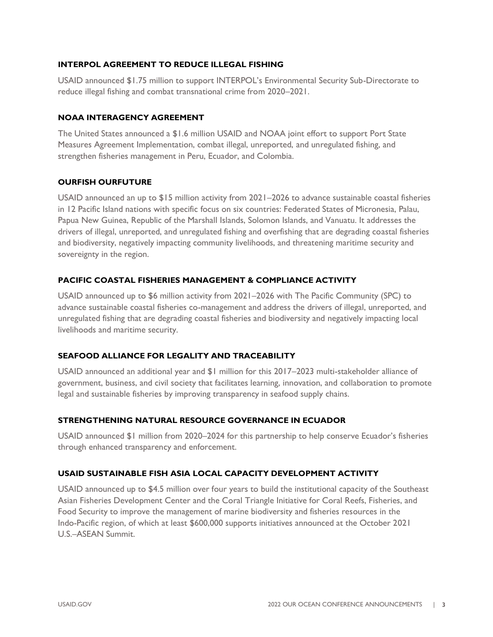# **INTERPOL AGREEMENT TO REDUCE ILLEGAL FISHING**

USAID announced \$1.75 million to support INTERPOL's Environmental Security Sub-Directorate to reduce illegal fishing and combat transnational crime from 2020–2021.

# **NOAA INTERAGENCY AGREEMENT**

The United States announced a \$1.6 million USAID and NOAA joint effort to support Port State Measures Agreement Implementation, combat illegal, unreported, and unregulated fishing, and strengthen fisheries management in Peru, Ecuador, and Colombia.

# **OURFISH OURFUTURE**

USAID announced an up to \$15 million activity from 2021–2026 to advance sustainable coastal fisheries in 12 Pacific Island nations with specific focus on six countries: Federated States of Micronesia, Palau, Papua New Guinea, Republic of the Marshall Islands, Solomon Islands, and Vanuatu. It addresses the drivers of illegal, unreported, and unregulated fishing and overfishing that are degrading coastal fisheries and biodiversity, negatively impacting community livelihoods, and threatening maritime security and sovereignty in the region.

# **PACIFIC COASTAL FISHERIES MANAGEMENT & COMPLIANCE ACTIVITY**

USAID announced up to \$6 million activity from 2021–2026 with The Pacific Community (SPC) to advance sustainable coastal fisheries co-management and address the drivers of illegal, unreported, and unregulated fishing that are degrading coastal fisheries and biodiversity and negatively impacting local livelihoods and maritime security.

# **SEAFOOD ALLIANCE FOR LEGALITY AND TRACEABILITY**

USAID announced an additional year and \$1 million for this 2017–2023 multi-stakeholder alliance of government, business, and civil society that facilitates learning, innovation, and collaboration to promote legal and sustainable fisheries by improving transparency in seafood supply chains.

# **STRENGTHENING NATURAL RESOURCE GOVERNANCE IN ECUADOR**

USAID announced \$1 million from 2020–2024 for this partnership to help conserve Ecuador's fisheries through enhanced transparency and enforcement.

# **USAID SUSTAINABLE FISH ASIA LOCAL CAPACITY DEVELOPMENT ACTIVITY**

USAID announced up to \$4.5 million over four years to build the institutional capacity of the Southeast Asian Fisheries Development Center and the Coral Triangle Initiative for Coral Reefs, Fisheries, and Food Security to improve the management of marine biodiversity and fisheries resources in the Indo-Pacific region, of which at least \$600,000 supports initiatives announced at the October 2021 U.S.–ASEAN Summit.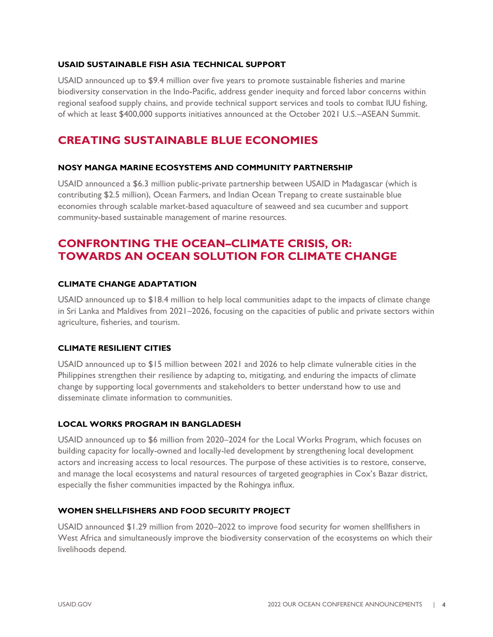#### **USAID SUSTAINABLE FISH ASIA TECHNICAL SUPPORT**

USAID announced up to \$9.4 million over five years to promote sustainable fisheries and marine biodiversity conservation in the Indo-Pacific, address gender inequity and forced labor concerns within regional seafood supply chains, and provide technical support services and tools to combat IUU fishing, of which at least \$400,000 supports initiatives announced at the October 2021 U.S.–ASEAN Summit.

# <span id="page-3-0"></span>**CREATING SUSTAINABLE BLUE ECONOMIES**

# **NOSY MANGA MARINE ECOSYSTEMS AND COMMUNITY PARTNERSHIP**

USAID announced a \$6.3 million public-private partnership between USAID in Madagascar (which is contributing \$2.5 million), Ocean Farmers, and Indian Ocean Trepang to create sustainable blue economies through scalable market-based aquaculture of seaweed and sea cucumber and support community-based sustainable management of marine resources.

# <span id="page-3-1"></span>**CONFRONTING THE OCEAN–CLIMATE CRISIS, OR: TOWARDS AN OCEAN SOLUTION FOR CLIMATE CHANGE**

# **CLIMATE CHANGE ADAPTATION**

USAID announced up to \$18.4 million to help local communities adapt to the impacts of climate change in Sri Lanka and Maldives from 2021–2026, focusing on the capacities of public and private sectors within agriculture, fisheries, and tourism.

# **CLIMATE RESILIENT CITIES**

USAID announced up to \$15 million between 2021 and 2026 to help climate vulnerable cities in the Philippines strengthen their resilience by adapting to, mitigating, and enduring the impacts of climate change by supporting local governments and stakeholders to better understand how to use and disseminate climate information to communities.

# **LOCAL WORKS PROGRAM IN BANGLADESH**

USAID announced up to \$6 million from 2020–2024 for the Local Works Program, which focuses on building capacity for locally-owned and locally-led development by strengthening local development actors and increasing access to local resources. The purpose of these activities is to restore, conserve, and manage the local ecosystems and natural resources of targeted geographies in Cox's Bazar district, especially the fisher communities impacted by the Rohingya influx.

# **WOMEN SHELLFISHERS AND FOOD SECURITY PROJECT**

USAID announced \$1.29 million from 2020–2022 to improve food security for women shellfishers in West Africa and simultaneously improve the biodiversity conservation of the ecosystems on which their livelihoods depend.